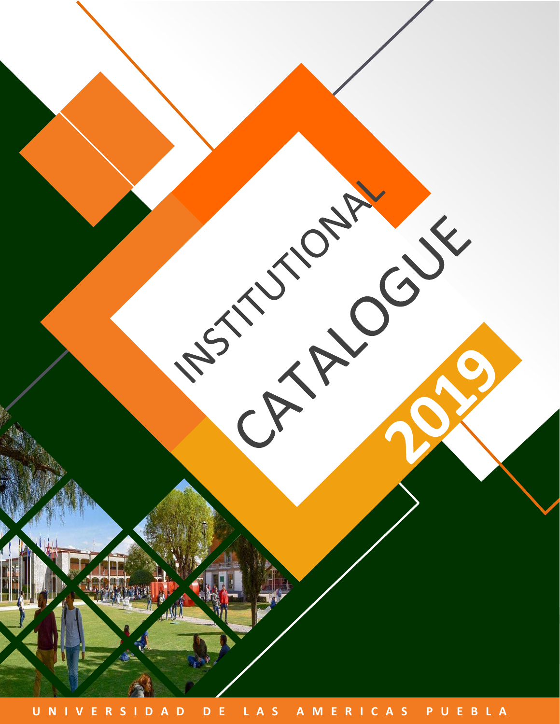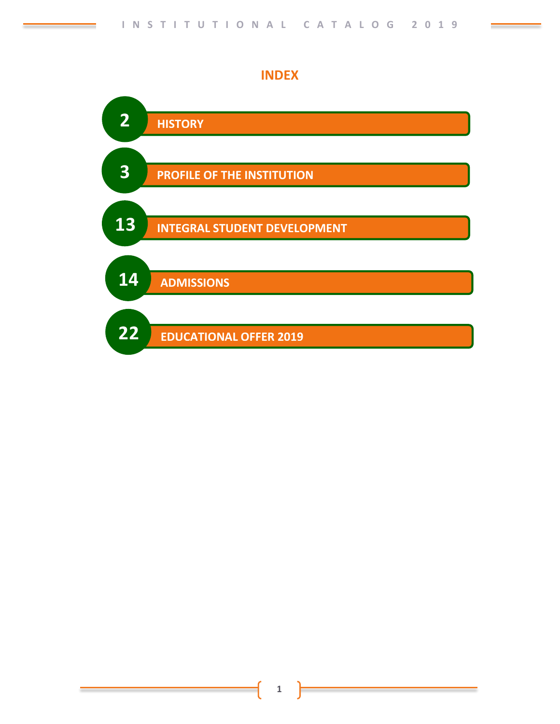

**INDEX**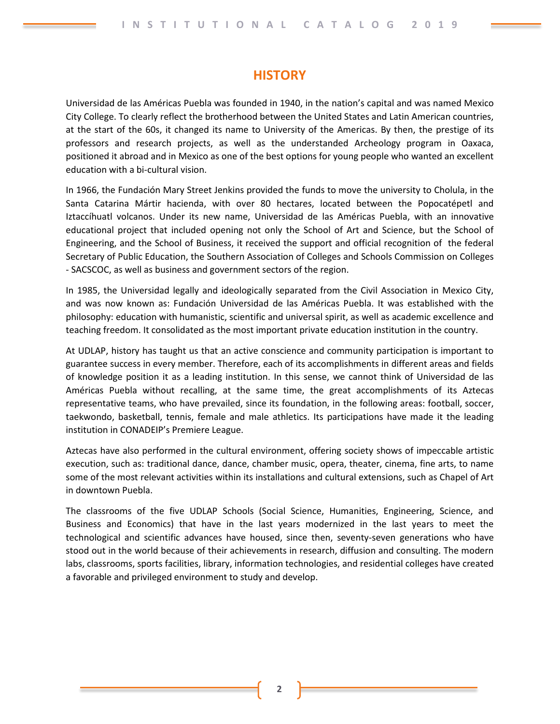# **HISTORY**

Universidad de las Américas Puebla was founded in 1940, in the nation's capital and was named Mexico City College. To clearly reflect the brotherhood between the United States and Latin American countries, at the start of the 60s, it changed its name to University of the Americas. By then, the prestige of its professors and research projects, as well as the understanded Archeology program in Oaxaca, positioned it abroad and in Mexico as one of the best options for young people who wanted an excellent education with a bi-cultural vision.

In 1966, the Fundación Mary Street Jenkins provided the funds to move the university to Cholula, in the Santa Catarina Mártir hacienda, with over 80 hectares, located between the Popocatépetl and Iztaccíhuatl volcanos. Under its new name, Universidad de las Américas Puebla, with an innovative educational project that included opening not only the School of Art and Science, but the School of Engineering, and the School of Business, it received the support and official recognition of the federal Secretary of Public Education, the Southern Association of Colleges and Schools Commission on Colleges - SACSCOC, as well as business and government sectors of the region.

In 1985, the Universidad legally and ideologically separated from the Civil Association in Mexico City, and was now known as: Fundación Universidad de las Américas Puebla. It was established with the philosophy: education with humanistic, scientific and universal spirit, as well as academic excellence and teaching freedom. It consolidated as the most important private education institution in the country.

At UDLAP, history has taught us that an active conscience and community participation is important to guarantee success in every member. Therefore, each of its accomplishments in different areas and fields of knowledge position it as a leading institution. In this sense, we cannot think of Universidad de las Américas Puebla without recalling, at the same time, the great accomplishments of its Aztecas representative teams, who have prevailed, since its foundation, in the following areas: football, soccer, taekwondo, basketball, tennis, female and male athletics. Its participations have made it the leading institution in CONADEIP's Premiere League.

Aztecas have also performed in the cultural environment, offering society shows of impeccable artistic execution, such as: traditional dance, dance, chamber music, opera, theater, cinema, fine arts, to name some of the most relevant activities within its installations and cultural extensions, such as Chapel of Art in downtown Puebla.

The classrooms of the five UDLAP Schools (Social Science, Humanities, Engineering, Science, and Business and Economics) that have in the last years modernized in the last years to meet the technological and scientific advances have housed, since then, seventy-seven generations who have stood out in the world because of their achievements in research, diffusion and consulting. The modern labs, classrooms, sports facilities, library, information technologies, and residential colleges have created a favorable and privileged environment to study and develop.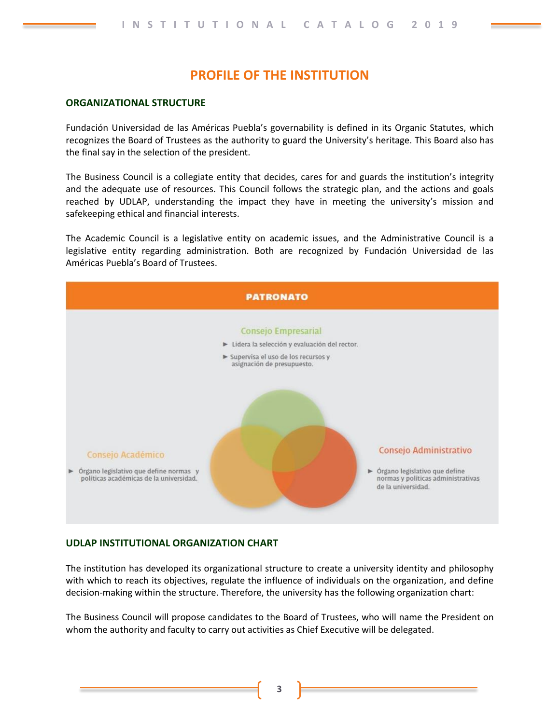# **PROFILE OF THE INSTITUTION**

## **ORGANIZATIONAL STRUCTURE**

Fundación Universidad de las Américas Puebla's governability is defined in its Organic Statutes, which recognizes the Board of Trustees as the authority to guard the University's heritage. This Board also has the final say in the selection of the president.

The Business Council is a collegiate entity that decides, cares for and guards the institution's integrity and the adequate use of resources. This Council follows the strategic plan, and the actions and goals reached by UDLAP, understanding the impact they have in meeting the university's mission and safekeeping ethical and financial interests.

The Academic Council is a legislative entity on academic issues, and the Administrative Council is a legislative entity regarding administration. Both are recognized by Fundación Universidad de las Américas Puebla's Board of Trustees.



## **UDLAP INSTITUTIONAL ORGANIZATION CHART**

The institution has developed its organizational structure to create a university identity and philosophy with which to reach its objectives, regulate the influence of individuals on the organization, and define decision-making within the structure. Therefore, the university has the following organization chart:

The Business Council will propose candidates to the Board of Trustees, who will name the President on whom the authority and faculty to carry out activities as Chief Executive will be delegated.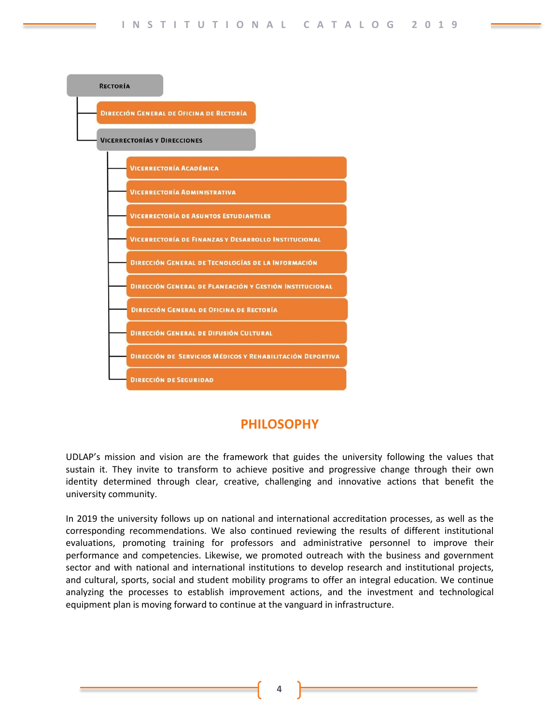

# **PHILOSOPHY**

UDLAP's mission and vision are the framework that guides the university following the values that sustain it. They invite to transform to achieve positive and progressive change through their own identity determined through clear, creative, challenging and innovative actions that benefit the university community.

In 2019 the university follows up on national and international accreditation processes, as well as the corresponding recommendations. We also continued reviewing the results of different institutional evaluations, promoting training for professors and administrative personnel to improve their performance and competencies. Likewise, we promoted outreach with the business and government sector and with national and international institutions to develop research and institutional projects, and cultural, sports, social and student mobility programs to offer an integral education. We continue analyzing the processes to establish improvement actions, and the investment and technological equipment plan is moving forward to continue at the vanguard in infrastructure.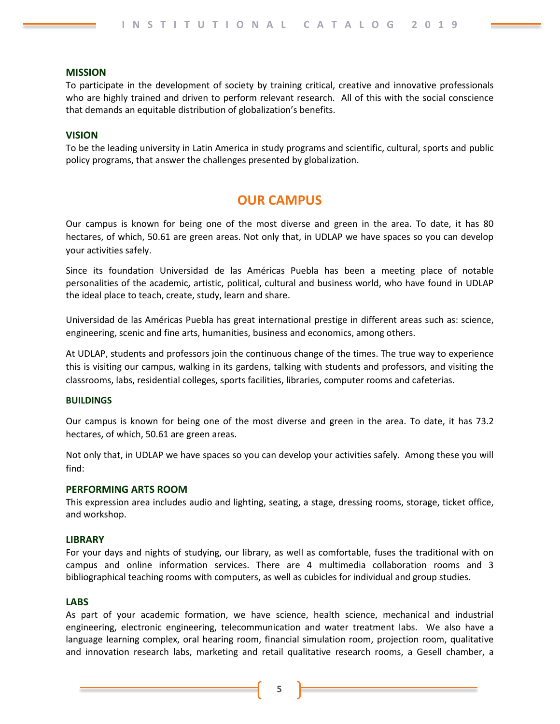## **MISSION**

To participate in the development of society by training critical, creative and innovative professionals who are highly trained and driven to perform relevant research. All of this with the social conscience that demands an equitable distribution of globalization's benefits.

## **VISION**

To be the leading university in Latin America in study programs and scientific, cultural, sports and public policy programs, that answer the challenges presented by globalization.

# **OUR CAMPUS**

Our campus is known for being one of the most diverse and green in the area. To date, it has 80 hectares, of which, 50.61 are green areas. Not only that, in UDLAP we have spaces so you can develop your activities safely.

Since its foundation Universidad de las Américas Puebla has been a meeting place of notable personalities of the academic, artistic, political, cultural and business world, who have found in UDLAP the ideal place to teach, create, study, learn and share.

Universidad de las Américas Puebla has great international prestige in different areas such as: science, engineering, scenic and fine arts, humanities, business and economics, among others.

At UDLAP, students and professors join the continuous change of the times. The true way to experience this is visiting our campus, walking in its gardens, talking with students and professors, and visiting the classrooms, labs, residential colleges, sports facilities, libraries, computer rooms and cafeterias.

## **BUILDINGS**

Our campus is known for being one of the most diverse and green in the area. To date, it has 73.2 hectares, of which, 50.61 are green areas.

Not only that, in UDLAP we have spaces so you can develop your activities safely. Among these you will find:

## **PERFORMING ARTS ROOM**

This expression area includes audio and lighting, seating, a stage, dressing rooms, storage, ticket office, and workshop.

## **LIBRARY**

For your days and nights of studying, our library, as well as comfortable, fuses the traditional with on campus and online information services. There are 4 multimedia collaboration rooms and 3 bibliographical teaching rooms with computers, as well as cubicles for individual and group studies.

## **LABS**

As part of your academic formation, we have science, health science, mechanical and industrial engineering, electronic engineering, telecommunication and water treatment labs. We also have a language learning complex, oral hearing room, financial simulation room, projection room, qualitative and innovation research labs, marketing and retail qualitative research rooms, a Gesell chamber, a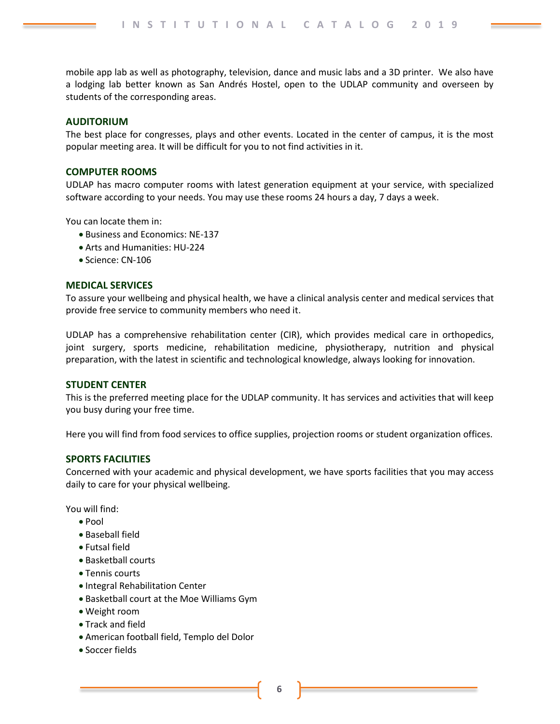mobile app lab as well as photography, television, dance and music labs and a 3D printer. We also have a lodging lab better known as San Andrés Hostel, open to the UDLAP community and overseen by students of the corresponding areas.

## **AUDITORIUM**

The best place for congresses, plays and other events. Located in the center of campus, it is the most popular meeting area. It will be difficult for you to not find activities in it.

#### **COMPUTER ROOMS**

UDLAP has macro computer rooms with latest generation equipment at your service, with specialized software according to your needs. You may use these rooms 24 hours a day, 7 days a week.

You can locate them in:

- Business and Economics: NE-137
- Arts and Humanities: HU-224
- Science: CN-106

#### **MEDICAL SERVICES**

To assure your wellbeing and physical health, we have a clinical analysis center and medical services that provide free service to community members who need it.

UDLAP has a comprehensive rehabilitation center (CIR), which provides medical care in orthopedics, joint surgery, sports medicine, rehabilitation medicine, physiotherapy, nutrition and physical preparation, with the latest in scientific and technological knowledge, always looking for innovation.

#### **STUDENT CENTER**

This is the preferred meeting place for the UDLAP community. It has services and activities that will keep you busy during your free time.

Here you will find from food services to office supplies, projection rooms or student organization offices.

## **SPORTS FACILITIES**

Concerned with your academic and physical development, we have sports facilities that you may access daily to care for your physical wellbeing.

You will find:

- Pool
- Baseball field
- Futsal field
- Basketball courts
- Tennis courts
- Integral Rehabilitation Center
- Basketball court at the Moe Williams Gym
- Weight room
- Track and field
- American football field, Templo del Dolor
- Soccer fields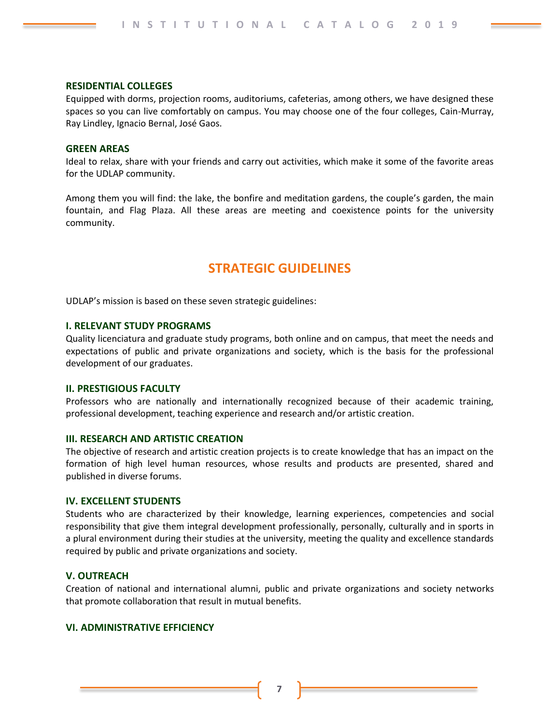#### **RESIDENTIAL COLLEGES**

Equipped with dorms, projection rooms, auditoriums, cafeterias, among others, we have designed these spaces so you can live comfortably on campus. You may choose one of the four colleges, Cain-Murray, Ray Lindley, Ignacio Bernal, José Gaos.

#### **GREEN AREAS**

Ideal to relax, share with your friends and carry out activities, which make it some of the favorite areas for the UDLAP community.

Among them you will find: the lake, the bonfire and meditation gardens, the couple's garden, the main fountain, and Flag Plaza. All these areas are meeting and coexistence points for the university community.

# **STRATEGIC GUIDELINES**

UDLAP's mission is based on these seven strategic guidelines:

## **I. RELEVANT STUDY PROGRAMS**

Quality licenciatura and graduate study programs, both online and on campus, that meet the needs and expectations of public and private organizations and society, which is the basis for the professional development of our graduates.

#### **II. PRESTIGIOUS FACULTY**

Professors who are nationally and internationally recognized because of their academic training, professional development, teaching experience and research and/or artistic creation.

#### **III. RESEARCH AND ARTISTIC CREATION**

The objective of research and artistic creation projects is to create knowledge that has an impact on the formation of high level human resources, whose results and products are presented, shared and published in diverse forums.

#### **IV. EXCELLENT STUDENTS**

Students who are characterized by their knowledge, learning experiences, competencies and social responsibility that give them integral development professionally, personally, culturally and in sports in a plural environment during their studies at the university, meeting the quality and excellence standards required by public and private organizations and society.

## **V. OUTREACH**

Creation of national and international alumni, public and private organizations and society networks that promote collaboration that result in mutual benefits.

## **VI. ADMINISTRATIVE EFFICIENCY**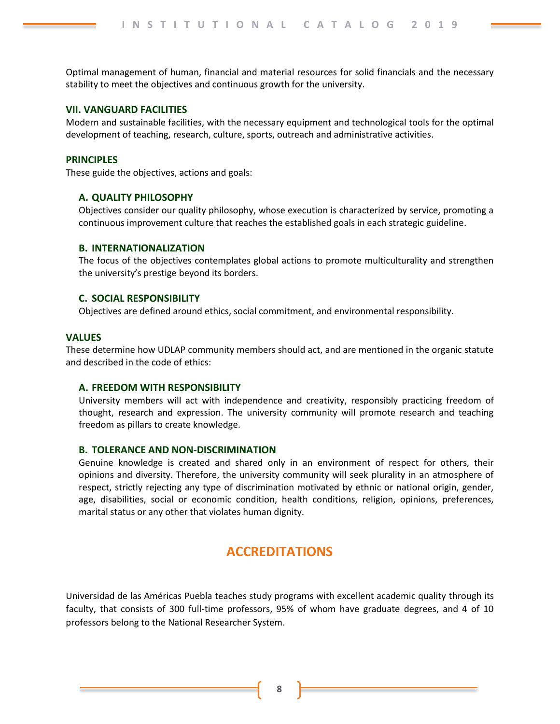Optimal management of human, financial and material resources for solid financials and the necessary stability to meet the objectives and continuous growth for the university.

#### **VII. VANGUARD FACILITIES**

Modern and sustainable facilities, with the necessary equipment and technological tools for the optimal development of teaching, research, culture, sports, outreach and administrative activities.

#### **PRINCIPLES**

These guide the objectives, actions and goals:

#### **A. QUALITY PHILOSOPHY**

Objectives consider our quality philosophy, whose execution is characterized by service, promoting a continuous improvement culture that reaches the established goals in each strategic guideline.

## **B. INTERNATIONALIZATION**

The focus of the objectives contemplates global actions to promote multiculturality and strengthen the university's prestige beyond its borders.

## **C. SOCIAL RESPONSIBILITY**

Objectives are defined around ethics, social commitment, and environmental responsibility.

## **VALUES**

These determine how UDLAP community members should act, and are mentioned in the organic statute and described in the code of ethics:

## **A. FREEDOM WITH RESPONSIBILITY**

University members will act with independence and creativity, responsibly practicing freedom of thought, research and expression. The university community will promote research and teaching freedom as pillars to create knowledge.

#### **B. TOLERANCE AND NON-DISCRIMINATION**

Genuine knowledge is created and shared only in an environment of respect for others, their opinions and diversity. Therefore, the university community will seek plurality in an atmosphere of respect, strictly rejecting any type of discrimination motivated by ethnic or national origin, gender, age, disabilities, social or economic condition, health conditions, religion, opinions, preferences, marital status or any other that violates human dignity.

# **ACCREDITATIONS**

Universidad de las Américas Puebla teaches study programs with excellent academic quality through its faculty, that consists of 300 full-time professors, 95% of whom have graduate degrees, and 4 of 10 professors belong to the National Researcher System.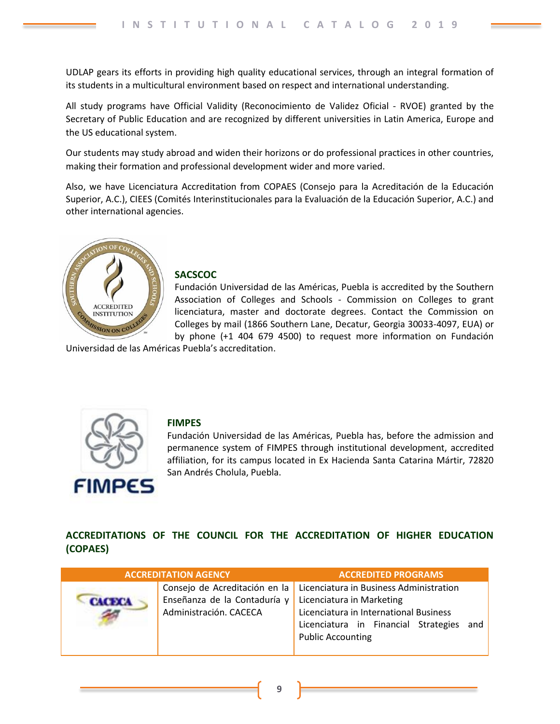UDLAP gears its efforts in providing high quality educational services, through an integral formation of its students in a multicultural environment based on respect and international understanding.

All study programs have Official Validity (Reconocimiento de Validez Oficial - RVOE) granted by the Secretary of Public Education and are recognized by different universities in Latin America, Europe and the US educational system.

Our students may study abroad and widen their horizons or do professional practices in other countries, making their formation and professional development wider and more varied.

Also, we have Licenciatura Accreditation from COPAES (Consejo para la Acreditación de la Educación Superior, A.C.), CIEES (Comités Interinstitucionales para la Evaluación de la Educación Superior, A.C.) and other international agencies.



## **SACSCOC**

Fundación Universidad de las Américas, Puebla is accredited by the Southern Association of Colleges and Schools - Commission on Colleges to grant licenciatura, master and doctorate degrees. Contact the Commission on Colleges by mail (1866 Southern Lane, Decatur, Georgia 30033-4097, EUA) or by phone (+1 404 679 4500) to request more information on Fundación

Universidad de las Américas Puebla's accreditation.



## **FIMPES**

Fundación Universidad de las Américas, Puebla has, before the admission and permanence system of FIMPES through institutional development, accredited affiliation, for its campus located in Ex Hacienda Santa Catarina Mártir, 72820 San Andrés Cholula, Puebla.

**ACCREDITATIONS OF THE COUNCIL FOR THE ACCREDITATION OF HIGHER EDUCATION (COPAES)**

| <b>ACCREDITATION AGENCY</b>                                                             | <b>ACCREDITED PROGRAMS</b>                                                                                                                                                             |
|-----------------------------------------------------------------------------------------|----------------------------------------------------------------------------------------------------------------------------------------------------------------------------------------|
| Consejo de Acreditación en la<br>Enseñanza de la Contaduría y<br>Administración. CACECA | Licenciatura in Business Administration<br>Licenciatura in Marketing<br>Licenciatura in International Business<br>Licenciatura in Financial Strategies and<br><b>Public Accounting</b> |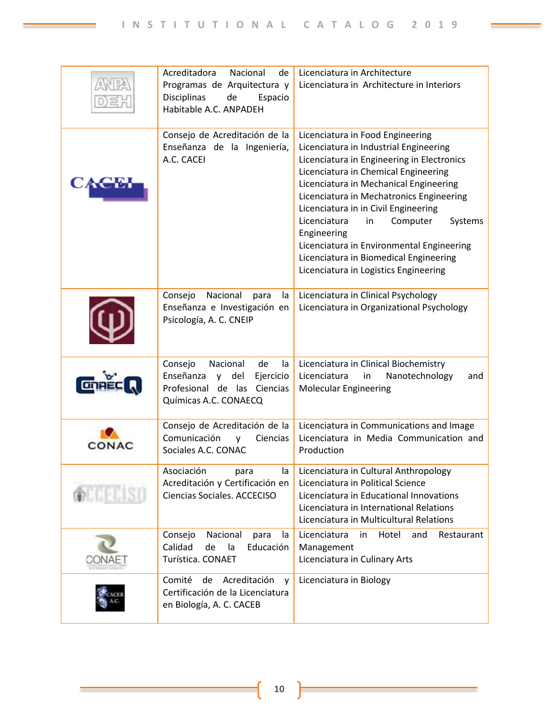|            | Acreditadora<br>Nacional<br>de<br>Programas de Arquitectura y<br>Disciplinas<br>de<br>Espacio<br>Habitable A.C. ANPADEH              | Licenciatura in Architecture<br>Licenciatura in Architecture in Interiors                                                                                                                                                                                                                                                                                                                                                                                                                  |
|------------|--------------------------------------------------------------------------------------------------------------------------------------|--------------------------------------------------------------------------------------------------------------------------------------------------------------------------------------------------------------------------------------------------------------------------------------------------------------------------------------------------------------------------------------------------------------------------------------------------------------------------------------------|
|            | Consejo de Acreditación de la<br>Enseñanza de la Ingeniería,<br>A.C. CACEI                                                           | Licenciatura in Food Engineering<br>Licenciatura in Industrial Engineering<br>Licenciatura in Engineering in Electronics<br>Licenciatura in Chemical Engineering<br>Licenciatura in Mechanical Engineering<br>Licenciatura in Mechatronics Engineering<br>Licenciatura in in Civil Engineering<br>Licenciatura<br>Computer<br>Systems<br>in<br>Engineering<br>Licenciatura in Environmental Engineering<br>Licenciatura in Biomedical Engineering<br>Licenciatura in Logistics Engineering |
|            | Nacional<br>Consejo<br>para<br>la<br>Enseñanza e Investigación en<br>Psicología, A. C. CNEIP                                         | Licenciatura in Clinical Psychology<br>Licenciatura in Organizational Psychology                                                                                                                                                                                                                                                                                                                                                                                                           |
|            | Consejo<br>Nacional<br>de<br>la<br>Enseñanza<br>del<br>Ejercicio<br><b>y</b><br>Profesional de las Ciencias<br>Químicas A.C. CONAECQ | Licenciatura in Clinical Biochemistry<br>Licenciatura<br>in<br>Nanotechnology<br>and<br><b>Molecular Engineering</b>                                                                                                                                                                                                                                                                                                                                                                       |
| CONAC      | Consejo de Acreditación de la<br>Comunicación<br>Ciencias<br>$\mathsf{V}$<br>Sociales A.C. CONAC                                     | Licenciatura in Communications and Image<br>Licenciatura in Media Communication and<br>Production                                                                                                                                                                                                                                                                                                                                                                                          |
| yring kiss | Asociación<br>la<br>para<br>Acreditación y Certificación en<br>Ciencias Sociales. ACCECISO                                           | Licenciatura in Cultural Anthropology<br>Licenciatura in Political Science<br>Licenciatura in Educational Innovations<br>Licenciatura in International Relations<br>Licenciatura in Multicultural Relations                                                                                                                                                                                                                                                                                |
|            | Consejo<br>Nacional<br>para<br>la<br>Calidad<br>la<br>Educación<br>de<br>Turística. CONAET                                           | Hotel<br>Licenciatura<br>in<br>and<br>Restaurant<br>Management<br>Licenciatura in Culinary Arts                                                                                                                                                                                                                                                                                                                                                                                            |
|            | Comité<br>Acreditación<br>de<br>v<br>Certificación de la Licenciatura<br>en Biología, A. C. CACEB                                    | Licenciatura in Biology                                                                                                                                                                                                                                                                                                                                                                                                                                                                    |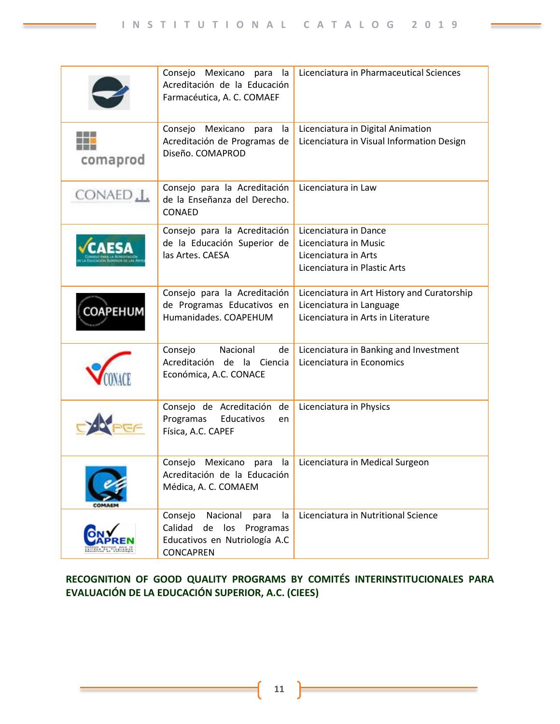|                     | Consejo Mexicano para la<br>Acreditación de la Educación<br>Farmacéutica, A. C. COMAEF                               | Licenciatura in Pharmaceutical Sciences                                                                       |
|---------------------|----------------------------------------------------------------------------------------------------------------------|---------------------------------------------------------------------------------------------------------------|
| comaprod            | Consejo Mexicano para<br>la<br>Acreditación de Programas de<br>Diseño. COMAPROD                                      | Licenciatura in Digital Animation<br>Licenciatura in Visual Information Design                                |
| CONAED <sub>1</sub> | Consejo para la Acreditación<br>de la Enseñanza del Derecho.<br>CONAED                                               | Licenciatura in Law                                                                                           |
| <b>CAESA</b>        | Consejo para la Acreditación<br>de la Educación Superior de<br>las Artes. CAESA                                      | Licenciatura in Dance<br>Licenciatura in Music<br>Licenciatura in Arts<br>Licenciatura in Plastic Arts        |
| <b>OAPEHUM</b>      | Consejo para la Acreditación<br>de Programas Educativos en<br>Humanidades. COAPEHUM                                  | Licenciatura in Art History and Curatorship<br>Licenciatura in Language<br>Licenciatura in Arts in Literature |
|                     | Consejo<br>Nacional<br>de<br>Acreditación de la Ciencia<br>Económica, A.C. CONACE                                    | Licenciatura in Banking and Investment<br>Licenciatura in Economics                                           |
|                     | Consejo de Acreditación de<br>Programas<br>Educativos<br>en<br>Física, A.C. CAPEF                                    | Licenciatura in Physics                                                                                       |
|                     | Mexicano<br>la<br>Consejo<br>para<br>Acreditación de la Educación<br>Médica, A. C. COMAEM                            | Licenciatura in Medical Surgeon                                                                               |
|                     | Nacional<br>Consejo<br>la<br>para<br>Calidad<br>los<br>de<br>Programas<br>Educativos en Nutriología A.C<br>CONCAPREN | Licenciatura in Nutritional Science                                                                           |

# **RECOGNITION OF GOOD QUALITY PROGRAMS BY COMITÉS INTERINSTITUCIONALES PARA EVALUACIÓN DE LA EDUCACIÓN SUPERIOR, A.C. (CIEES)**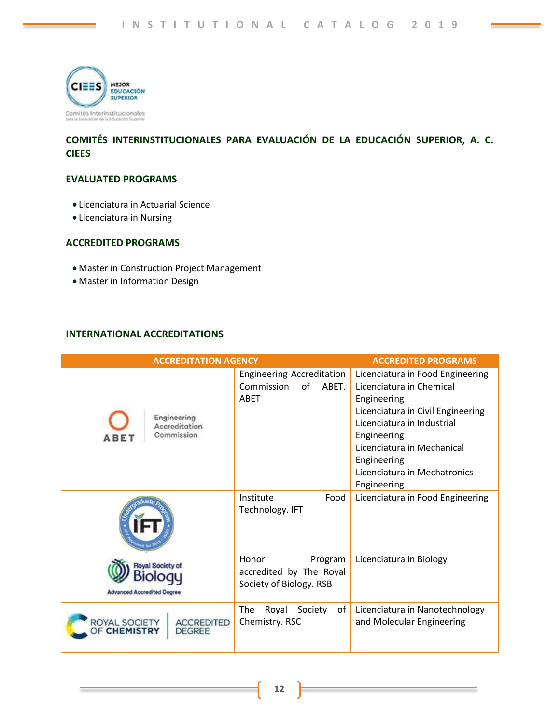

## **COMITÉS INTERINSTITUCIONALES PARA EVALUACIÓN DE LA EDUCACIÓN SUPERIOR, A. C. CIEES**

## **EVALUATED PROGRAMS**

- Licenciatura in Actuarial Science
- Licenciatura in Nursing

## **ACCREDITED PROGRAMS**

- Master in Construction Project Management
- Master in Information Design

## **INTERNATIONAL ACCREDITATIONS**

| <b>ACCREDITATION AGENCY</b>                                  |                                                                        | <b>ACCREDITED PROGRAMS</b>                                                                                                                                                                                                                                |
|--------------------------------------------------------------|------------------------------------------------------------------------|-----------------------------------------------------------------------------------------------------------------------------------------------------------------------------------------------------------------------------------------------------------|
| Engineering<br>Accreditation<br>Commission<br>A B E 1        | <b>Engineering Accreditation</b><br>Commission<br>of<br>ABET.<br>ABET  | Licenciatura in Food Engineering<br>Licenciatura in Chemical<br>Engineering<br>Licenciatura in Civil Engineering<br>Licenciatura in Industrial<br>Engineering<br>Licenciatura in Mechanical<br>Engineering<br>Licenciatura in Mechatronics<br>Engineering |
|                                                              | Institute<br>Food<br>Technology. IFT                                   | Licenciatura in Food Engineering                                                                                                                                                                                                                          |
| <b>Royal Society of</b><br><b>Advanced Accredited Degree</b> | Honor<br>Program<br>accredited by The Royal<br>Society of Biology. RSB | Licenciatura in Biology                                                                                                                                                                                                                                   |
| ROYAL SOCIETY<br><b>ACCREDITED</b><br>DEGREE                 | <b>The</b><br>Royal<br>Society<br>оf<br>Chemistry. RSC                 | Licenciatura in Nanotechnology<br>and Molecular Engineering                                                                                                                                                                                               |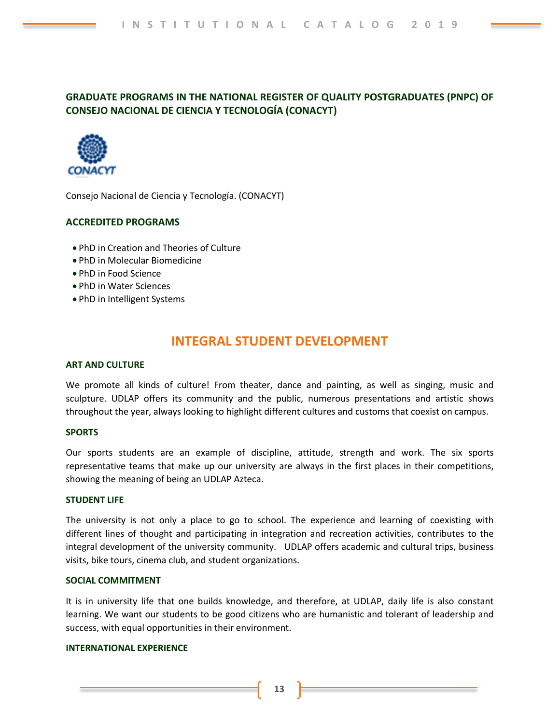## **GRADUATE PROGRAMS IN THE NATIONAL REGISTER OF QUALITY POSTGRADUATES (PNPC) OF CONSEJO NACIONAL DE CIENCIA Y TECNOLOGÍA (CONACYT)**



Consejo Nacional de Ciencia y Tecnología. (CONACYT)

## **ACCREDITED PROGRAMS**

- PhD in Creation and Theories of Culture
- PhD in Molecular Biomedicine
- PhD in Food Science
- PhD in Water Sciences
- PhD in Intelligent Systems

# **INTEGRAL STUDENT DEVELOPMENT**

#### **ART AND CULTURE**

We promote all kinds of culture! From theater, dance and painting, as well as singing, music and sculpture. UDLAP offers its community and the public, numerous presentations and artistic shows throughout the year, always looking to highlight different cultures and customs that coexist on campus.

## **SPORTS**

Our sports students are an example of discipline, attitude, strength and work. The six sports representative teams that make up our university are always in the first places in their competitions, showing the meaning of being an UDLAP Azteca.

#### **STUDENT LIFE**

The university is not only a place to go to school. The experience and learning of coexisting with different lines of thought and participating in integration and recreation activities, contributes to the integral development of the university community. UDLAP offers academic and cultural trips, business visits, bike tours, cinema club, and student organizations.

## **SOCIAL COMMITMENT**

It is in university life that one builds knowledge, and therefore, at UDLAP, daily life is also constant learning. We want our students to be good citizens who are humanistic and tolerant of leadership and success, with equal opportunities in their environment.

## **INTERNATIONAL EXPERIENCE**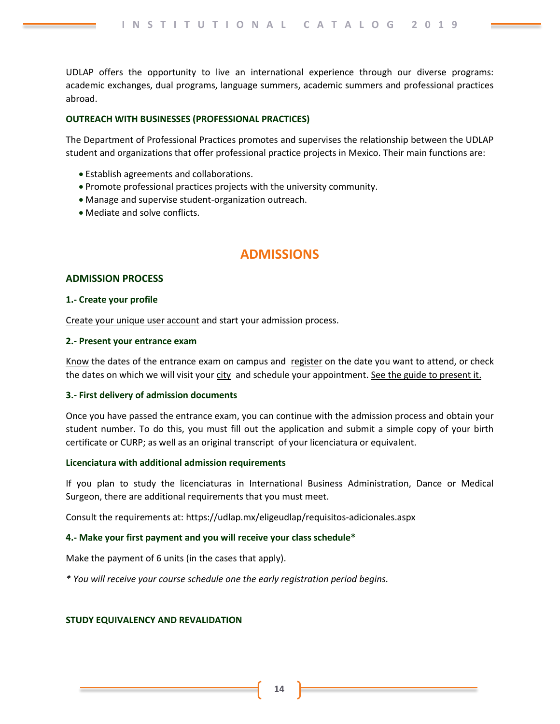UDLAP offers the opportunity to live an international experience through our diverse programs: academic exchanges, dual programs, language summers, academic summers and professional practices abroad.

#### **OUTREACH WITH BUSINESSES (PROFESSIONAL PRACTICES)**

The Department of Professional Practices promotes and supervises the relationship between the UDLAP student and organizations that offer professional practice projects in Mexico. Their main functions are:

- Establish agreements and collaborations.
- Promote professional practices projects with the university community.
- Manage and supervise student-organization outreach.
- Mediate and solve conflicts.

# **ADMISSIONS**

## **ADMISSION PROCESS**

#### **1.- Create your profile**

[Create your unique user account](https://inscripciones.udlap.mx/RegistroCandidato/) and start your admission process.

## **2.- Present your entrance exam**

[Know](https://udlap.mx/eligeudlap/#fechasExamenes) the dates of the entrance exam on campus and [register](https://inscripciones.udlap.mx/RegistroCandidato/) on the date you want to attend, or check the dates on which we will visit you[r city](https://udlap.mx/laudlapvisitatuciudad/) and schedule your appointment[. See the guide to present it.](https://udlap.mx/eligeudlap/files/06052015_guia-de-examen-nuevo-ingreso-licenciatura.pdf)

## **3.- First delivery of admission documents**

Once you have passed the entrance exam, you can continue with the admission process and obtain your student number. To do this, you must fill out the application and submit a simple copy of your birth certificate or CURP; as well as an original transcript of your licenciatura or equivalent.

## **Licenciatura with additional admission requirements**

If you plan to study the licenciaturas in International Business Administration, Dance or Medical Surgeon, there are additional requirements that you must meet.

Consult the requirements at:<https://udlap.mx/eligeudlap/requisitos-adicionales.aspx>

## **4.- Make your first payment and you will receive your class schedule\***

Make the payment of 6 units (in the cases that apply).

*\* You will receive your course schedule one the early registration period begins.* 

## **STUDY EQUIVALENCY AND REVALIDATION**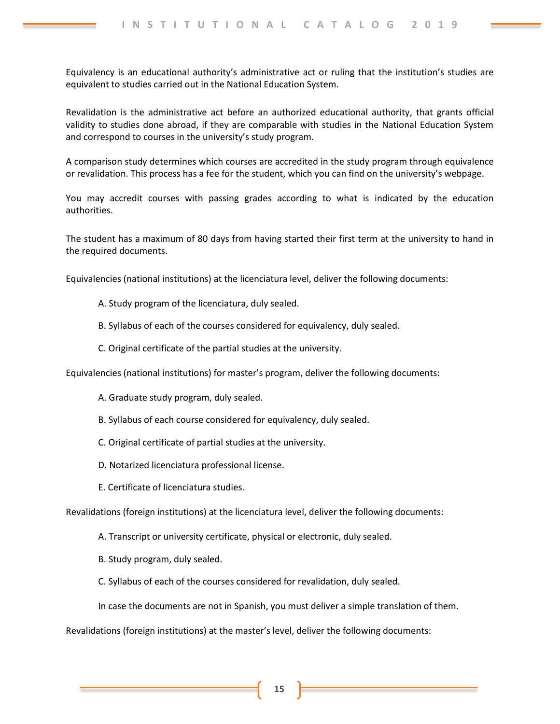Equivalency is an educational authority's administrative act or ruling that the institution's studies are equivalent to studies carried out in the National Education System.

Revalidation is the administrative act before an authorized educational authority, that grants official validity to studies done abroad, if they are comparable with studies in the National Education System and correspond to courses in the university's study program.

A comparison study determines which courses are accredited in the study program through equivalence or revalidation. This process has a fee for the student, which you can find on the university's webpage.

You may accredit courses with passing grades according to what is indicated by the education authorities.

The student has a maximum of 80 days from having started their first term at the university to hand in the required documents.

Equivalencies (national institutions) at the licenciatura level, deliver the following documents:

- A. Study program of the licenciatura, duly sealed.
- B. Syllabus of each of the courses considered for equivalency, duly sealed.
- C. Original certificate of the partial studies at the university.

Equivalencies (national institutions) for master's program, deliver the following documents:

- A. Graduate study program, duly sealed.
- B. Syllabus of each course considered for equivalency, duly sealed.
- C. Original certificate of partial studies at the university.
- D. Notarized licenciatura professional license.
- E. Certificate of licenciatura studies.

Revalidations (foreign institutions) at the licenciatura level, deliver the following documents:

- A. Transcript or university certificate, physical or electronic, duly sealed.
- B. Study program, duly sealed.
- C. Syllabus of each of the courses considered for revalidation, duly sealed.

In case the documents are not in Spanish, you must deliver a simple translation of them.

Revalidations (foreign institutions) at the master's level, deliver the following documents: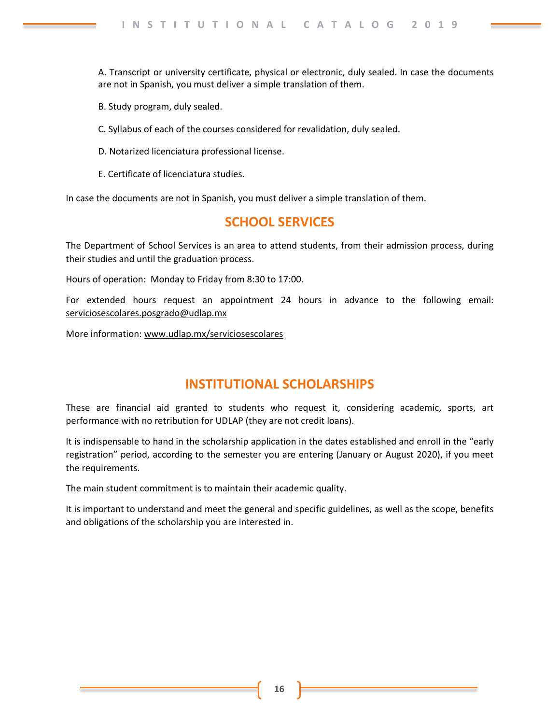A. Transcript or university certificate, physical or electronic, duly sealed. In case the documents are not in Spanish, you must deliver a simple translation of them.

B. Study program, duly sealed.

- C. Syllabus of each of the courses considered for revalidation, duly sealed.
- D. Notarized licenciatura professional license.
- E. Certificate of licenciatura studies.

In case the documents are not in Spanish, you must deliver a simple translation of them.

# **SCHOOL SERVICES**

The Department of School Services is an area to attend students, from their admission process, during their studies and until the graduation process.

Hours of operation: Monday to Friday from 8:30 to 17:00.

For extended hours request an appointment 24 hours in advance to the following email: [serviciosescolares.posgrado@udlap.mx](mailto:serviciosescolares.posgrado@udlap.mx)

More information[: www.udlap.mx/serviciosescolares](http://www.udlap.mx/serviciosescolares)

# **INSTITUTIONAL SCHOLARSHIPS**

These are financial aid granted to students who request it, considering academic, sports, art performance with no retribution for UDLAP (they are not credit loans).

It is indispensable to hand in the scholarship application in the dates established and enroll in the "early registration" period, according to the semester you are entering (January or August 2020), if you meet the requirements.

The main student commitment is to maintain their academic quality.

It is important to understand and meet the general and specific guidelines, as well as the scope, benefits and obligations of the scholarship you are interested in.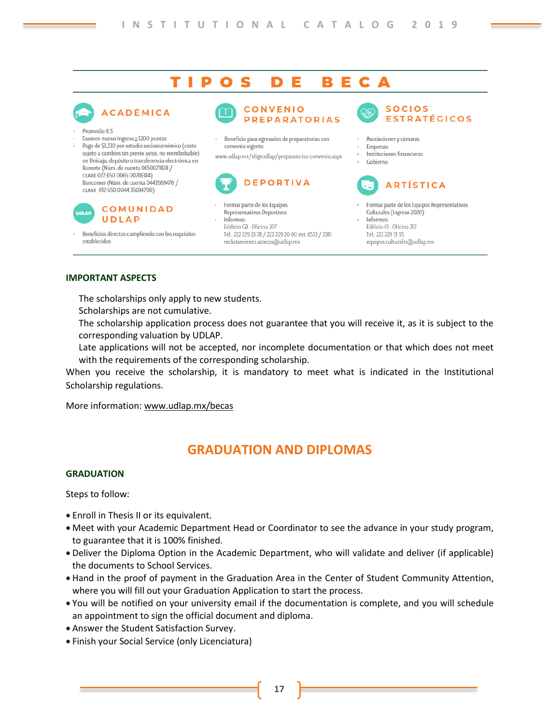#### TIPO Е S D в Е. C

# **ACADÉMICA**

- Promedio 8.5
- Examen nuevo ingreso 2 1200 puntos
- Pago de \$1.230 por estudio socioeconómico (costo sujeto a cambios sin previo aviso, no reembolsable) en Unicaia, depósito o transferencia electrónica en: Banorte (Núm. de cuenta 0650071838 /  $C$ LARE  $072650006500718384$ Bancomer (Núm. de cuenta 0443569470 / CLABE 012 650 0044 35694700)



Beneficios directos cumpliendo con los requisitos establecidos



Beneficio para egresados de preparatorias con convenio vigente

www.udlap.mx/eligeudlap/preparatorias-convenio.aspx



Formar parte de los Equipos

Representativos Deportivos Informes: Edificio GB · Oficina 207 Tel.: 222 229 23 78 / 222 229 20 00 ext. 6533 / 2381 reclutamiento.aztecas@udlap.mx



- Asociaciones y cámaras
- **Empresas**
- Instituciones financieras
- Gobierno



- Formar parte de los Equipos Representativos Culturales (ingreso 2020)
- Informes: Edificio CI - Oficina 212 Tel: 222 229 31 55 equipos.culturales@udlap.mx

## **IMPORTANT ASPECTS**

The scholarships only apply to new students.

- Scholarships are not cumulative.
- The scholarship application process does not guarantee that you will receive it, as it is subject to the corresponding valuation by UDLAP.
- Late applications will not be accepted, nor incomplete documentation or that which does not meet with the requirements of the corresponding scholarship.

When you receive the scholarship, it is mandatory to meet what is indicated in the Institutional Scholarship regulations.

More information[: www.udlap.mx/becas](http://www.udlap.mx/becas)

# **GRADUATION AND DIPLOMAS**

## **GRADUATION**

Steps to follow:

- Enroll in Thesis II or its equivalent.
- Meet with your Academic Department Head or Coordinator to see the advance in your study program, to guarantee that it is 100% finished.
- Deliver the Diploma Option in the Academic Department, who will validate and deliver (if applicable) the documents to School Services.
- Hand in the proof of payment in the Graduation Area in the Center of Student Community Attention, where you will fill out your Graduation Application to start the process.
- You will be notified on your university email if the documentation is complete, and you will schedule an appointment to sign the official document and diploma.
- Answer the Student Satisfaction Survey.
- Finish your Social Service (only Licenciatura)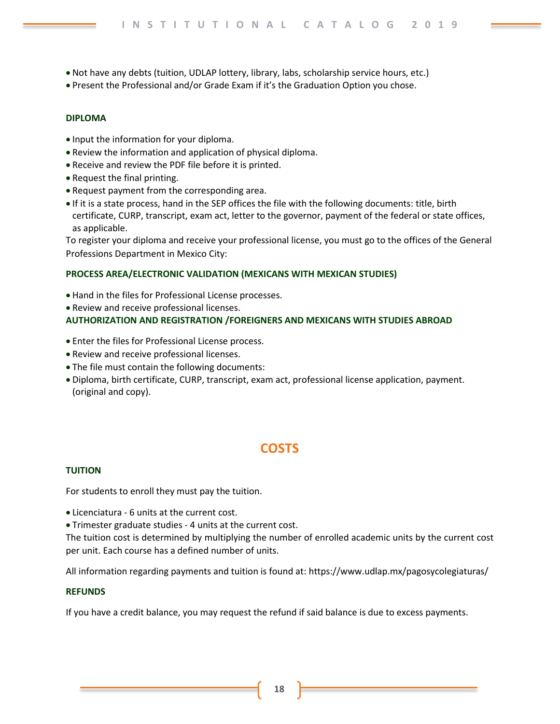- Not have any debts (tuition, UDLAP lottery, library, labs, scholarship service hours, etc.)
- Present the Professional and/or Grade Exam if it's the Graduation Option you chose.

## **DIPLOMA**

- Input the information for your diploma.
- Review the information and application of physical diploma.
- Receive and review the PDF file before it is printed.
- Request the final printing.
- Request payment from the corresponding area.
- If it is a state process, hand in the SEP offices the file with the following documents: title, birth certificate, CURP, transcript, exam act, letter to the governor, payment of the federal or state offices, as applicable.

To register your diploma and receive your professional license, you must go to the offices of the General Professions Department in Mexico City:

## **PROCESS AREA/ELECTRONIC VALIDATION (MEXICANS WITH MEXICAN STUDIES)**

- Hand in the files for Professional License processes.
- Review and receive professional licenses.

## **AUTHORIZATION AND REGISTRATION /FOREIGNERS AND MEXICANS WITH STUDIES ABROAD**

- Enter the files for Professional License process.
- Review and receive professional licenses.
- The file must contain the following documents:
- Diploma, birth certificate, CURP, transcript, exam act, professional license application, payment. (original and copy).

# **COSTS**

## **TUITION**

For students to enroll they must pay the tuition.

- Licenciatura 6 units at the current cost.
- Trimester graduate studies 4 units at the current cost.

The tuition cost is determined by multiplying the number of enrolled academic units by the current cost per unit. Each course has a defined number of units.

All information regarding payments and tuition is found at: https://www.udlap.mx/pagosycolegiaturas/

## **REFUNDS**

If you have a credit balance, you may request the refund if said balance is due to excess payments.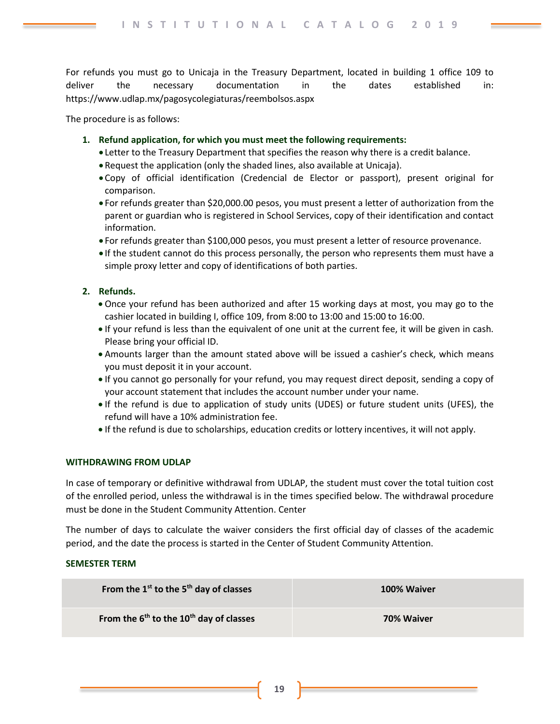For refunds you must go to Unicaja in the Treasury Department, located in building 1 office 109 to deliver the necessary documentation in the dates established in: https://www.udlap.mx/pagosycolegiaturas/reembolsos.aspx

The procedure is as follows:

- **1. Refund application, for which you must meet the following requirements:**
	- Letter to the Treasury Department that specifies the reason why there is a credit balance.
	- Request the application (only the shaded lines, also available at Unicaja).
	- Copy of official identification (Credencial de Elector or passport), present original for comparison.
	- For refunds greater than \$20,000.00 pesos, you must present a letter of authorization from the parent or guardian who is registered in School Services, copy of their identification and contact information.
	- For refunds greater than \$100,000 pesos, you must present a letter of resource provenance.
	- If the student cannot do this process personally, the person who represents them must have a simple proxy letter and copy of identifications of both parties.

## **2. Refunds.**

- Once your refund has been authorized and after 15 working days at most, you may go to the cashier located in building I, office 109, from 8:00 to 13:00 and 15:00 to 16:00.
- If your refund is less than the equivalent of one unit at the current fee, it will be given in cash. Please bring your official ID.
- Amounts larger than the amount stated above will be issued a cashier's check, which means you must deposit it in your account.
- If you cannot go personally for your refund, you may request direct deposit, sending a copy of your account statement that includes the account number under your name.
- If the refund is due to application of study units (UDES) or future student units (UFES), the refund will have a 10% administration fee.
- If the refund is due to scholarships, education credits or lottery incentives, it will not apply.

## **WITHDRAWING FROM UDLAP**

In case of temporary or definitive withdrawal from UDLAP, the student must cover the total tuition cost of the enrolled period, unless the withdrawal is in the times specified below. The withdrawal procedure must be done in the Student Community Attention. Center

The number of days to calculate the waiver considers the first official day of classes of the academic period, and the date the process is started in the Center of Student Community Attention.

## **SEMESTER TERM**

| From the $1^{st}$ to the $5^{th}$ day of classes                | 100% Waiver |
|-----------------------------------------------------------------|-------------|
| From the 6 <sup>th</sup> to the 10 <sup>th</sup> day of classes | 70% Waiver  |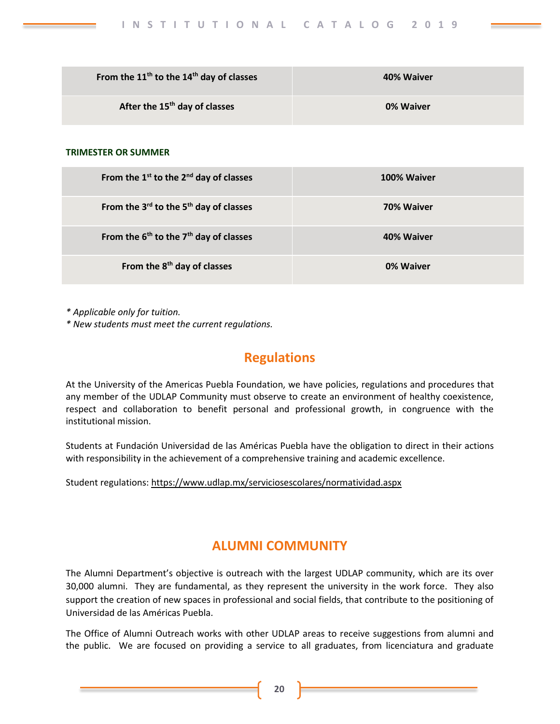| From the $11th$ to the $14th$ day of classes | 40% Waiver |
|----------------------------------------------|------------|
| After the 15 <sup>th</sup> day of classes    | 0% Waiver  |

## **TRIMESTER OR SUMMER**

| From the $1^{st}$ to the $2^{nd}$ day of classes | 100% Waiver |
|--------------------------------------------------|-------------|
| From the $3^{rd}$ to the $5^{th}$ day of classes | 70% Waiver  |
| From the $6th$ to the $7th$ day of classes       | 40% Waiver  |
| From the 8 <sup>th</sup> day of classes          | 0% Waiver   |

*\* Applicable only for tuition.*

*\* New students must meet the current regulations.*

# **Regulations**

At the University of the Americas Puebla Foundation, we have policies, regulations and procedures that any member of the UDLAP Community must observe to create an environment of healthy coexistence, respect and collaboration to benefit personal and professional growth, in congruence with the institutional mission.

Students at Fundación Universidad de las Américas Puebla have the obligation to direct in their actions with responsibility in the achievement of a comprehensive training and academic excellence.

Student regulations:<https://www.udlap.mx/serviciosescolares/normatividad.aspx>

# **ALUMNI COMMUNITY**

The Alumni Department's objective is outreach with the largest UDLAP community, which are its over 30,000 alumni. They are fundamental, as they represent the university in the work force. They also support the creation of new spaces in professional and social fields, that contribute to the positioning of Universidad de las Américas Puebla.

The Office of Alumni Outreach works with other UDLAP areas to receive suggestions from alumni and the public. We are focused on providing a service to all graduates, from licenciatura and graduate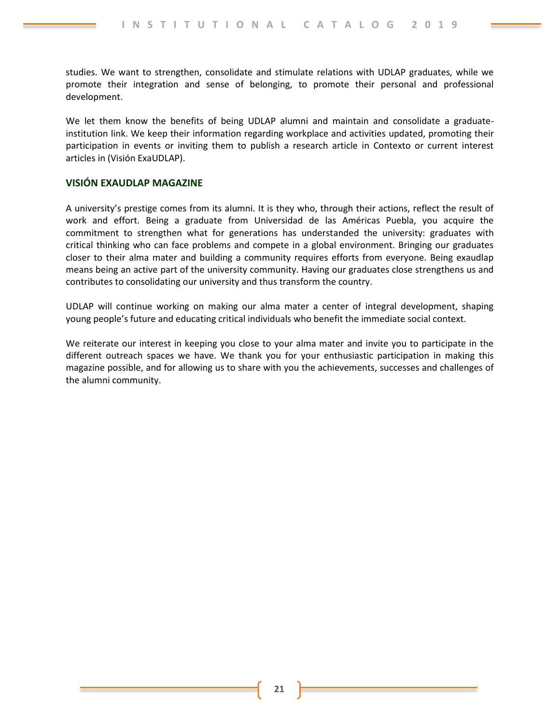studies. We want to strengthen, consolidate and stimulate relations with UDLAP graduates, while we promote their integration and sense of belonging, to promote their personal and professional development.

We let them know the benefits of being UDLAP alumni and maintain and consolidate a graduateinstitution link. We keep their information regarding workplace and activities updated, promoting their participation in events or inviting them to publish a research article in Contexto or current interest articles in (Visión ExaUDLAP).

## **VISIÓN EXAUDLAP MAGAZINE**

A university's prestige comes from its alumni. It is they who, through their actions, reflect the result of work and effort. Being a graduate from Universidad de las Américas Puebla, you acquire the commitment to strengthen what for generations has understanded the university: graduates with critical thinking who can face problems and compete in a global environment. Bringing our graduates closer to their alma mater and building a community requires efforts from everyone. Being exaudlap means being an active part of the university community. Having our graduates close strengthens us and contributes to consolidating our university and thus transform the country.

UDLAP will continue working on making our alma mater a center of integral development, shaping young people's future and educating critical individuals who benefit the immediate social context.

We reiterate our interest in keeping you close to your alma mater and invite you to participate in the different outreach spaces we have. We thank you for your enthusiastic participation in making this magazine possible, and for allowing us to share with you the achievements, successes and challenges of the alumni community.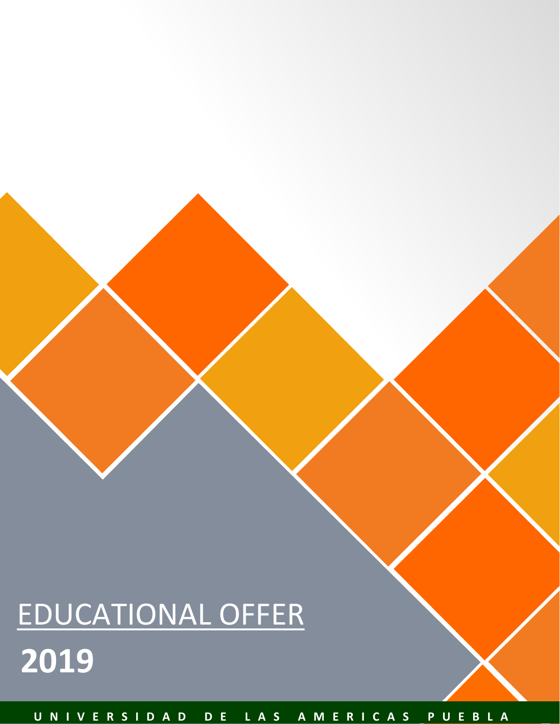# EDUCATIONAL OFFER **2019**

**U N I V E R S I D A D D E L A S A M E R I C A S P U E B L A**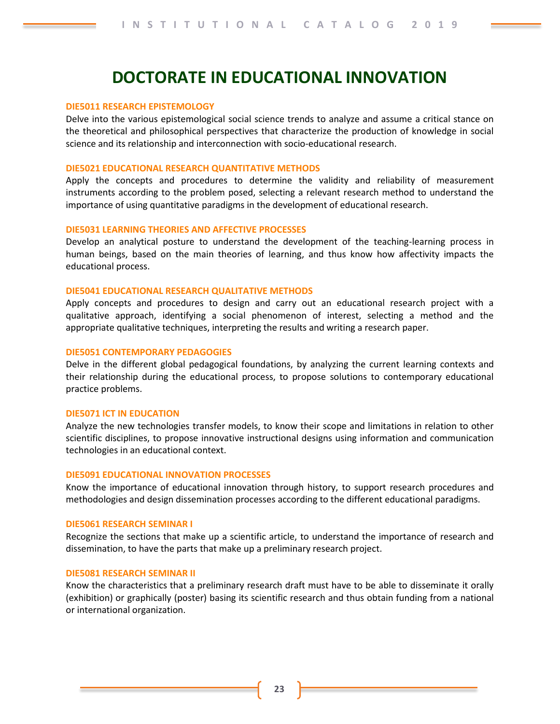# **DOCTORATE IN EDUCATIONAL INNOVATION**

#### **DIE5011 RESEARCH EPISTEMOLOGY**

Delve into the various epistemological social science trends to analyze and assume a critical stance on the theoretical and philosophical perspectives that characterize the production of knowledge in social science and its relationship and interconnection with socio-educational research.

#### **DIE5021 EDUCATIONAL RESEARCH QUANTITATIVE METHODS**

Apply the concepts and procedures to determine the validity and reliability of measurement instruments according to the problem posed, selecting a relevant research method to understand the importance of using quantitative paradigms in the development of educational research.

#### **DIE5031 LEARNING THEORIES AND AFFECTIVE PROCESSES**

Develop an analytical posture to understand the development of the teaching-learning process in human beings, based on the main theories of learning, and thus know how affectivity impacts the educational process.

#### **DIE5041 EDUCATIONAL RESEARCH QUALITATIVE METHODS**

Apply concepts and procedures to design and carry out an educational research project with a qualitative approach, identifying a social phenomenon of interest, selecting a method and the appropriate qualitative techniques, interpreting the results and writing a research paper.

#### **DIE5051 CONTEMPORARY PEDAGOGIES**

Delve in the different global pedagogical foundations, by analyzing the current learning contexts and their relationship during the educational process, to propose solutions to contemporary educational practice problems.

#### **DIE5071 ICT IN EDUCATION**

Analyze the new technologies transfer models, to know their scope and limitations in relation to other scientific disciplines, to propose innovative instructional designs using information and communication technologies in an educational context.

#### **DIE5091 EDUCATIONAL INNOVATION PROCESSES**

Know the importance of educational innovation through history, to support research procedures and methodologies and design dissemination processes according to the different educational paradigms.

#### **DIE5061 RESEARCH SEMINAR I**

Recognize the sections that make up a scientific article, to understand the importance of research and dissemination, to have the parts that make up a preliminary research project.

## **DIE5081 RESEARCH SEMINAR II**

Know the characteristics that a preliminary research draft must have to be able to disseminate it orally (exhibition) or graphically (poster) basing its scientific research and thus obtain funding from a national or international organization.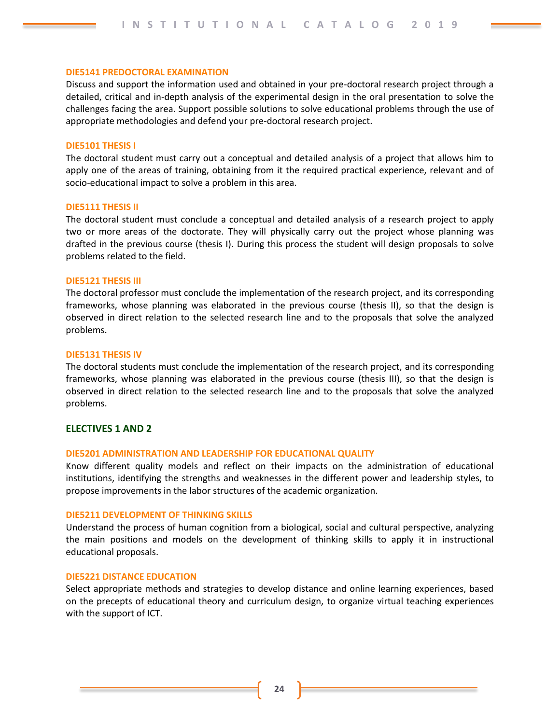#### **DIE5141 PREDOCTORAL EXAMINATION**

Discuss and support the information used and obtained in your pre-doctoral research project through a detailed, critical and in-depth analysis of the experimental design in the oral presentation to solve the challenges facing the area. Support possible solutions to solve educational problems through the use of appropriate methodologies and defend your pre-doctoral research project.

#### **DIE5101 THESIS I**

The doctoral student must carry out a conceptual and detailed analysis of a project that allows him to apply one of the areas of training, obtaining from it the required practical experience, relevant and of socio-educational impact to solve a problem in this area.

#### **DIE5111 THESIS II**

The doctoral student must conclude a conceptual and detailed analysis of a research project to apply two or more areas of the doctorate. They will physically carry out the project whose planning was drafted in the previous course (thesis I). During this process the student will design proposals to solve problems related to the field.

#### **DIE5121 THESIS III**

The doctoral professor must conclude the implementation of the research project, and its corresponding frameworks, whose planning was elaborated in the previous course (thesis II), so that the design is observed in direct relation to the selected research line and to the proposals that solve the analyzed problems.

#### **DIE5131 THESIS IV**

The doctoral students must conclude the implementation of the research project, and its corresponding frameworks, whose planning was elaborated in the previous course (thesis III), so that the design is observed in direct relation to the selected research line and to the proposals that solve the analyzed problems.

## **ELECTIVES 1 AND 2**

#### **DIE5201 ADMINISTRATION AND LEADERSHIP FOR EDUCATIONAL QUALITY**

Know different quality models and reflect on their impacts on the administration of educational institutions, identifying the strengths and weaknesses in the different power and leadership styles, to propose improvements in the labor structures of the academic organization.

#### **DIE5211 DEVELOPMENT OF THINKING SKILLS**

Understand the process of human cognition from a biological, social and cultural perspective, analyzing the main positions and models on the development of thinking skills to apply it in instructional educational proposals.

#### **DIE5221 DISTANCE EDUCATION**

Select appropriate methods and strategies to develop distance and online learning experiences, based on the precepts of educational theory and curriculum design, to organize virtual teaching experiences with the support of ICT.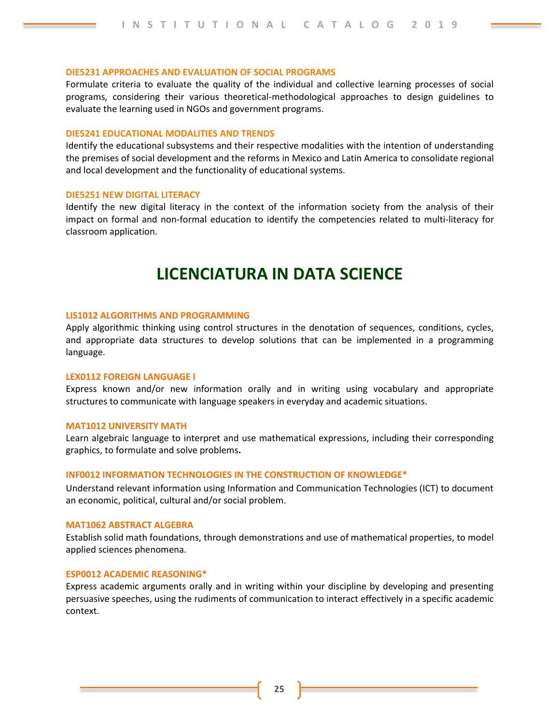#### **DIE5231 APPROACHES AND EVALUATION OF SOCIAL PROGRAMS**

Formulate criteria to evaluate the quality of the individual and collective learning processes of social programs, considering their various theoretical-methodological approaches to design guidelines to evaluate the learning used in NGOs and government programs.

#### **DIE5241 EDUCATIONAL MODALITIES AND TRENDS**

Identify the educational subsystems and their respective modalities with the intention of understanding the premises of social development and the reforms in Mexico and Latin America to consolidate regional and local development and the functionality of educational systems.

#### **DIE5251 NEW DIGITAL LITERACY**

Identify the new digital literacy in the context of the information society from the analysis of their impact on formal and non-formal education to identify the competencies related to multi-literacy for classroom application.

# **LICENCIATURA IN DATA SCIENCE**

#### **LIS1012 ALGORITHMS AND PROGRAMMING**

Apply algorithmic thinking using control structures in the denotation of sequences, conditions, cycles, and appropriate data structures to develop solutions that can be implemented in a programming language.

#### **LEX0112 FOREIGN LANGUAGE I**

Express known and/or new information orally and in writing using vocabulary and appropriate structures to communicate with language speakers in everyday and academic situations.

#### **MAT1012 UNIVERSITY MATH**

Learn algebraic language to interpret and use mathematical expressions, including their corresponding graphics, to formulate and solve problems**.**

#### **INF0012 INFORMATION TECHNOLOGIES IN THE CONSTRUCTION OF KNOWLEDGE\***

Understand relevant information using Information and Communication Technologies (ICT) to document an economic, political, cultural and/or social problem.

#### **MAT1062 ABSTRACT ALGEBRA**

Establish solid math foundations, through demonstrations and use of mathematical properties, to model applied sciences phenomena.

#### **ESP0012 ACADEMIC REASONING\***

Express academic arguments orally and in writing within your discipline by developing and presenting persuasive speeches, using the rudiments of communication to interact effectively in a specific academic context.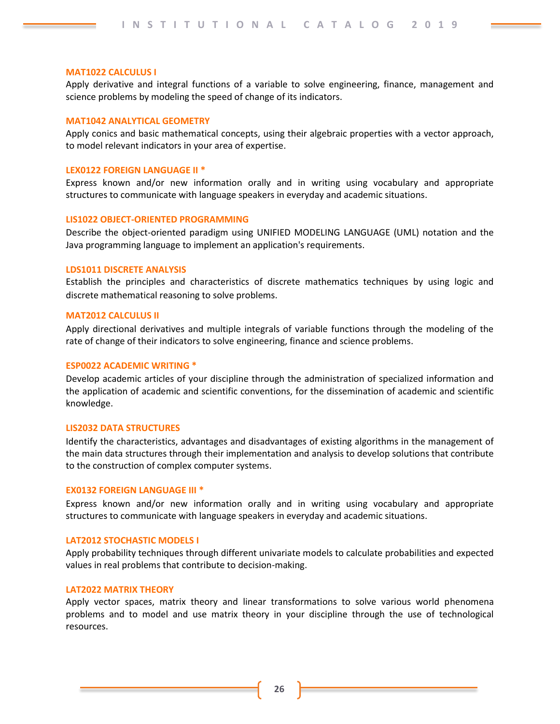#### **MAT1022 CALCULUS I**

Apply derivative and integral functions of a variable to solve engineering, finance, management and science problems by modeling the speed of change of its indicators.

#### **MAT1042 ANALYTICAL GEOMETRY**

Apply conics and basic mathematical concepts, using their algebraic properties with a vector approach, to model relevant indicators in your area of expertise.

#### **LEX0122 FOREIGN LANGUAGE II \***

Express known and/or new information orally and in writing using vocabulary and appropriate structures to communicate with language speakers in everyday and academic situations.

#### **LIS1022 OBJECT-ORIENTED PROGRAMMING**

Describe the object-oriented paradigm using UNIFIED MODELING LANGUAGE (UML) notation and the Java programming language to implement an application's requirements.

#### **LDS1011 DISCRETE ANALYSIS**

Establish the principles and characteristics of discrete mathematics techniques by using logic and discrete mathematical reasoning to solve problems.

## **MAT2012 CALCULUS II**

Apply directional derivatives and multiple integrals of variable functions through the modeling of the rate of change of their indicators to solve engineering, finance and science problems.

#### **ESP0022 ACADEMIC WRITING \***

Develop academic articles of your discipline through the administration of specialized information and the application of academic and scientific conventions, for the dissemination of academic and scientific knowledge.

#### **LIS2032 DATA STRUCTURES**

Identify the characteristics, advantages and disadvantages of existing algorithms in the management of the main data structures through their implementation and analysis to develop solutions that contribute to the construction of complex computer systems.

#### **EX0132 FOREIGN LANGUAGE III \***

Express known and/or new information orally and in writing using vocabulary and appropriate structures to communicate with language speakers in everyday and academic situations.

#### **LAT2012 STOCHASTIC MODELS I**

Apply probability techniques through different univariate models to calculate probabilities and expected values in real problems that contribute to decision-making.

#### **LAT2022 MATRIX THEORY**

Apply vector spaces, matrix theory and linear transformations to solve various world phenomena problems and to model and use matrix theory in your discipline through the use of technological resources.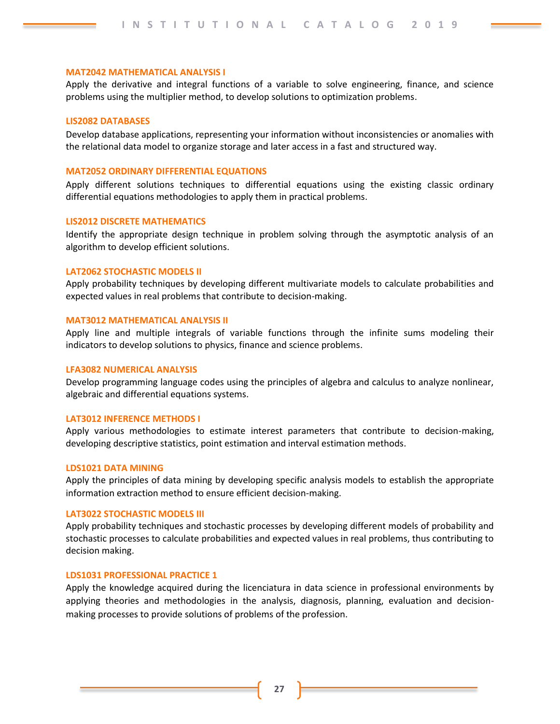#### **MAT2042 MATHEMATICAL ANALYSIS I**

Apply the derivative and integral functions of a variable to solve engineering, finance, and science problems using the multiplier method, to develop solutions to optimization problems.

#### **LIS2082 DATABASES**

Develop database applications, representing your information without inconsistencies or anomalies with the relational data model to organize storage and later access in a fast and structured way.

#### **MAT2052 ORDINARY DIFFERENTIAL EQUATIONS**

Apply different solutions techniques to differential equations using the existing classic ordinary differential equations methodologies to apply them in practical problems.

#### **LIS2012 DISCRETE MATHEMATICS**

Identify the appropriate design technique in problem solving through the asymptotic analysis of an algorithm to develop efficient solutions.

#### **LAT2062 STOCHASTIC MODELS II**

Apply probability techniques by developing different multivariate models to calculate probabilities and expected values in real problems that contribute to decision-making.

#### **MAT3012 MATHEMATICAL ANALYSIS II**

Apply line and multiple integrals of variable functions through the infinite sums modeling their indicators to develop solutions to physics, finance and science problems.

#### **LFA3082 NUMERICAL ANALYSIS**

Develop programming language codes using the principles of algebra and calculus to analyze nonlinear, algebraic and differential equations systems.

#### **LAT3012 INFERENCE METHODS I**

Apply various methodologies to estimate interest parameters that contribute to decision-making, developing descriptive statistics, point estimation and interval estimation methods.

#### **LDS1021 DATA MINING**

Apply the principles of data mining by developing specific analysis models to establish the appropriate information extraction method to ensure efficient decision-making.

#### **LAT3022 STOCHASTIC MODELS III**

Apply probability techniques and stochastic processes by developing different models of probability and stochastic processes to calculate probabilities and expected values in real problems, thus contributing to decision making.

#### **LDS1031 PROFESSIONAL PRACTICE 1**

Apply the knowledge acquired during the licenciatura in data science in professional environments by applying theories and methodologies in the analysis, diagnosis, planning, evaluation and decisionmaking processes to provide solutions of problems of the profession.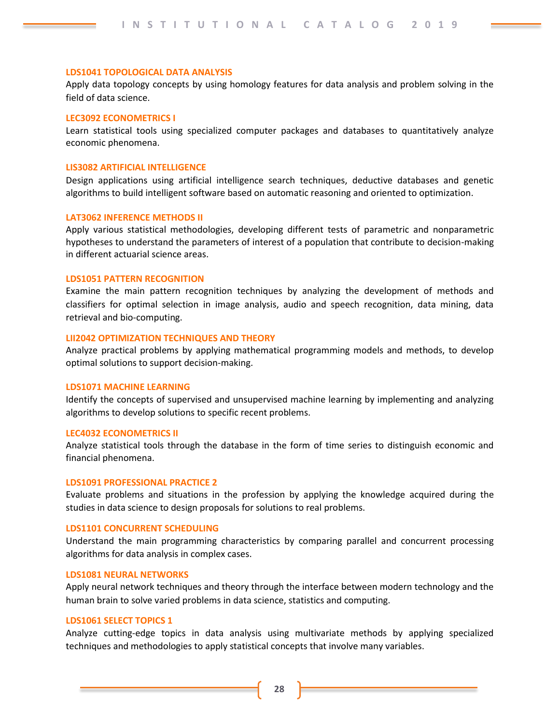#### **LDS1041 TOPOLOGICAL DATA ANALYSIS**

Apply data topology concepts by using homology features for data analysis and problem solving in the field of data science.

#### **LEC3092 ECONOMETRICS I**

Learn statistical tools using specialized computer packages and databases to quantitatively analyze economic phenomena.

#### **LIS3082 ARTIFICIAL INTELLIGENCE**

Design applications using artificial intelligence search techniques, deductive databases and genetic algorithms to build intelligent software based on automatic reasoning and oriented to optimization.

#### **LAT3062 INFERENCE METHODS II**

Apply various statistical methodologies, developing different tests of parametric and nonparametric hypotheses to understand the parameters of interest of a population that contribute to decision-making in different actuarial science areas.

#### **LDS1051 PATTERN RECOGNITION**

Examine the main pattern recognition techniques by analyzing the development of methods and classifiers for optimal selection in image analysis, audio and speech recognition, data mining, data retrieval and bio-computing.

#### **LII2042 OPTIMIZATION TECHNIQUES AND THEORY**

Analyze practical problems by applying mathematical programming models and methods, to develop optimal solutions to support decision-making.

#### **LDS1071 MACHINE LEARNING**

Identify the concepts of supervised and unsupervised machine learning by implementing and analyzing algorithms to develop solutions to specific recent problems.

#### **LEC4032 ECONOMETRICS II**

Analyze statistical tools through the database in the form of time series to distinguish economic and financial phenomena.

## **LDS1091 PROFESSIONAL PRACTICE 2**

Evaluate problems and situations in the profession by applying the knowledge acquired during the studies in data science to design proposals for solutions to real problems.

#### **LDS1101 CONCURRENT SCHEDULING**

Understand the main programming characteristics by comparing parallel and concurrent processing algorithms for data analysis in complex cases.

#### **LDS1081 NEURAL NETWORKS**

Apply neural network techniques and theory through the interface between modern technology and the human brain to solve varied problems in data science, statistics and computing.

#### **LDS1061 SELECT TOPICS 1**

Analyze cutting-edge topics in data analysis using multivariate methods by applying specialized techniques and methodologies to apply statistical concepts that involve many variables.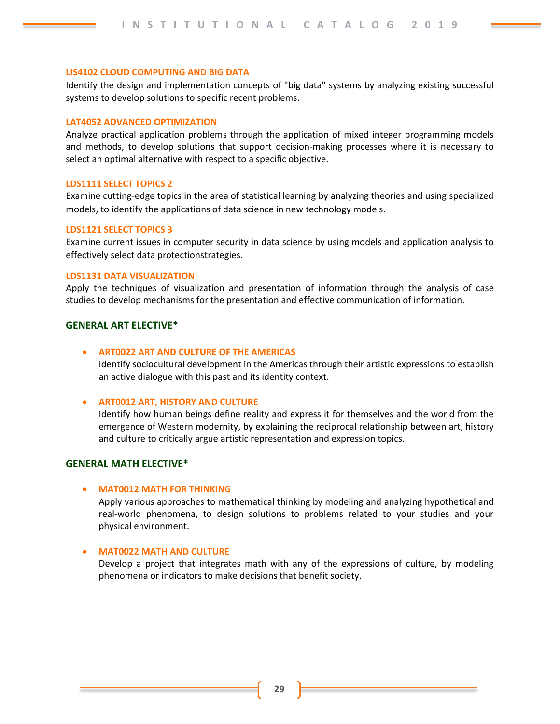#### **LIS4102 CLOUD COMPUTING AND BIG DATA**

Identify the design and implementation concepts of "big data" systems by analyzing existing successful systems to develop solutions to specific recent problems.

#### **LAT4052 ADVANCED OPTIMIZATION**

Analyze practical application problems through the application of mixed integer programming models and methods, to develop solutions that support decision-making processes where it is necessary to select an optimal alternative with respect to a specific objective.

#### **LDS1111 SELECT TOPICS 2**

Examine cutting-edge topics in the area of statistical learning by analyzing theories and using specialized models, to identify the applications of data science in new technology models.

#### **LDS1121 SELECT TOPICS 3**

Examine current issues in computer security in data science by using models and application analysis to effectively select data protectionstrategies.

## **LDS1131 DATA VISUALIZATION**

Apply the techniques of visualization and presentation of information through the analysis of case studies to develop mechanisms for the presentation and effective communication of information.

#### **GENERAL ART ELECTIVE\***

#### • **ART0022 ART AND CULTURE OF THE AMERICAS**

Identify sociocultural development in the Americas through their artistic expressions to establish an active dialogue with this past and its identity context.

#### • **ART0012 ART, HISTORY AND CULTURE**

Identify how human beings define reality and express it for themselves and the world from the emergence of Western modernity, by explaining the reciprocal relationship between art, history and culture to critically argue artistic representation and expression topics.

## **GENERAL MATH ELECTIVE\***

#### • **MAT0012 MATH FOR THINKING**

Apply various approaches to mathematical thinking by modeling and analyzing hypothetical and real-world phenomena, to design solutions to problems related to your studies and your physical environment.

## • **MAT0022 MATH AND CULTURE**

Develop a project that integrates math with any of the expressions of culture, by modeling phenomena or indicators to make decisions that benefit society.